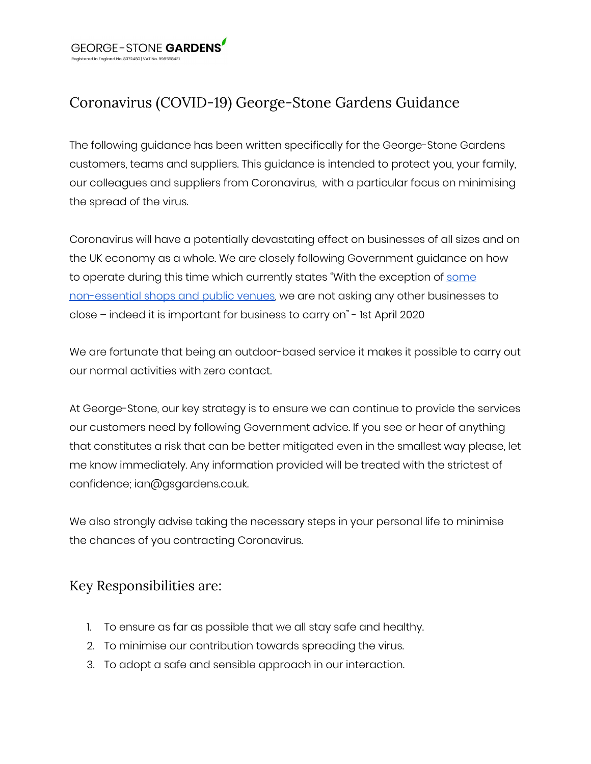

## Coronavirus (COVID-19) George-Stone Gardens Guidance

The following guidance has been written specifically for the George-Stone Gardens customers, teams and suppliers. This guidance is intended to protect you, your family, our colleagues and suppliers from Coronavirus, with a particular focus on minimising the spread of the virus.

Coronavirus will have a potentially devastating effect on businesses of all sizes and on the UK economy as a whole. We are closely following Government guidance on how to operate during this time which currently states "With the exception of [some](https://www.gov.uk/government/publications/further-businesses-and-premises-to-close/further-businesses-and-premises-to-close-guidance#businesses-and-premises-that-must-remain-closed) [non-essential](https://www.gov.uk/government/publications/further-businesses-and-premises-to-close/further-businesses-and-premises-to-close-guidance#businesses-and-premises-that-must-remain-closed) shops and public venues, we are not asking any other businesses to close – indeed it is important for business to carry on" - 1st April 2020

We are fortunate that being an outdoor-based service it makes it possible to carry out our normal activities with zero contact.

At George-Stone, our key strategy is to ensure we can continue to provide the services our customers need by following Government advice. If you see or hear of anything that constitutes a risk that can be better mitigated even in the smallest way please, let me know immediately. Any information provided will be treated with the strictest of confidence; ian@gsgardens.co.uk.

We also strongly advise taking the necessary steps in your personal life to minimise the chances of you contracting Coronavirus.

## Key Responsibilities are:

- 1. To ensure as far as possible that we all stay safe and healthy.
- 2. To minimise our contribution towards spreading the virus.
- 3. To adopt a safe and sensible approach in our interaction.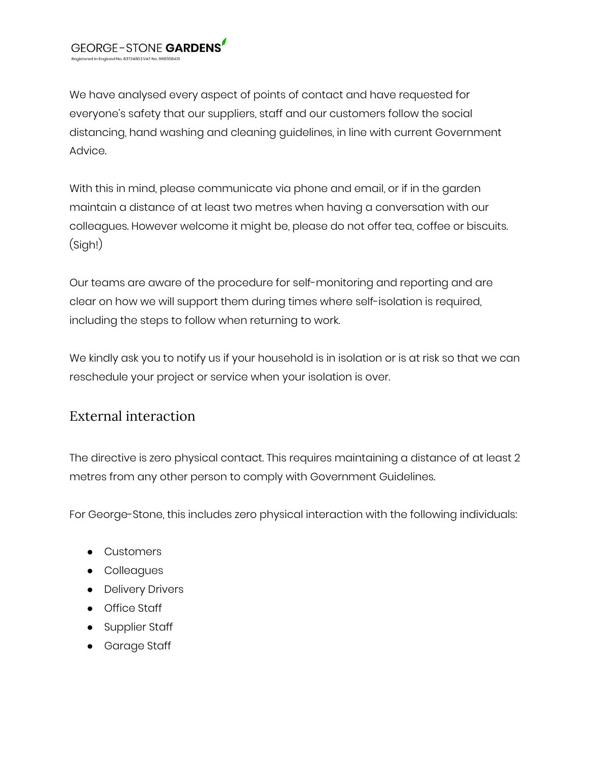We have analysed every aspect of points of contact and have requested for everyone's safety that our suppliers, staff and our customers follow the social distancing, hand washing and cleaning guidelines, in line with current Government Advice.

With this in mind, please communicate via phone and email, or if in the garden maintain a distance of at least two metres when having a conversation with our colleagues. However welcome it might be, please do not offer tea, coffee or biscuits. (Sigh!)

Our teams are aware of the procedure for self-monitoring and reporting and are clear on how we will support them during times where self-isolation is required, including the steps to follow when returning to work.

We kindly ask you to notify us if your household is in isolation or is at risk so that we can reschedule your project or service when your isolation is over.

## External interaction

The directive is zero physical contact. This requires maintaining a distance of at least 2 metres from any other person to comply with Government Guidelines.

For George-Stone, this includes zero physical interaction with the following individuals:

- Customers
- Colleagues
- Delivery Drivers
- Office Staff
- Supplier Staff
- Garage Staff